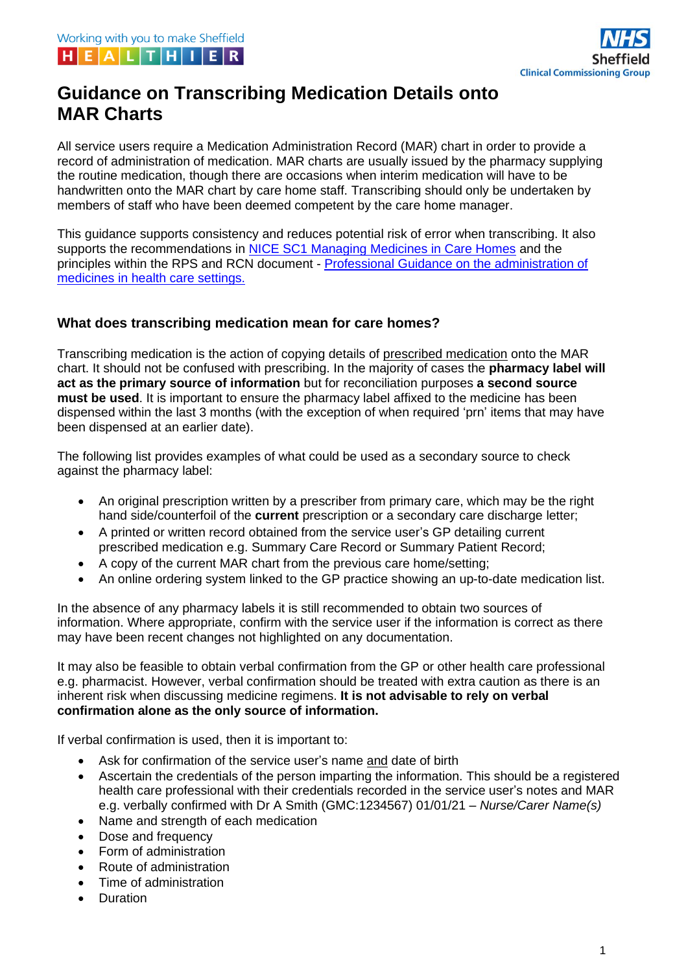

# **Guidance on Transcribing Medication Details onto MAR Charts**

All service users require a Medication Administration Record (MAR) chart in order to provide a record of administration of medication. MAR charts are usually issued by the pharmacy supplying the routine medication, though there are occasions when interim medication will have to be handwritten onto the MAR chart by care home staff. Transcribing should only be undertaken by members of staff who have been deemed competent by the care home manager.

This guidance supports consistency and reduces potential risk of error when transcribing. It also supports the recommendations in [NICE SC1 Managing Medicines in Care Homes](https://www.nice.org.uk/guidance/sc1/resources/managing-medicines-in-care-homes-pdf-61677133765) and the principles within the RPS and RCN document - [Professional Guidance on the administration of](https://www.rpharms.com/Portals/0/RPS%20document%20library/Open%20access/Professional%20standards/SSHM%20and%20Admin/Admin%20of%20Meds%20prof%20guidance.pdf?ver=2019-01-23-145026-567)  [medicines in health care settings.](https://www.rpharms.com/Portals/0/RPS%20document%20library/Open%20access/Professional%20standards/SSHM%20and%20Admin/Admin%20of%20Meds%20prof%20guidance.pdf?ver=2019-01-23-145026-567) 

## **What does transcribing medication mean for care homes?**

Transcribing medication is the action of copying details of prescribed medication onto the MAR chart. It should not be confused with prescribing. In the majority of cases the **pharmacy label will act as the primary source of information** but for reconciliation purposes **a second source must be used**. It is important to ensure the pharmacy label affixed to the medicine has been dispensed within the last 3 months (with the exception of when required 'prn' items that may have been dispensed at an earlier date).

The following list provides examples of what could be used as a secondary source to check against the pharmacy label:

- An original prescription written by a prescriber from primary care, which may be the right hand side/counterfoil of the **current** prescription or a secondary care discharge letter;
- A printed or written record obtained from the service user's GP detailing current prescribed medication e.g. Summary Care Record or Summary Patient Record;
- A copy of the current MAR chart from the previous care home/setting;
- An online ordering system linked to the GP practice showing an up-to-date medication list.

In the absence of any pharmacy labels it is still recommended to obtain two sources of information. Where appropriate, confirm with the service user if the information is correct as there may have been recent changes not highlighted on any documentation.

It may also be feasible to obtain verbal confirmation from the GP or other health care professional e.g. pharmacist. However, verbal confirmation should be treated with extra caution as there is an inherent risk when discussing medicine regimens. **It is not advisable to rely on verbal confirmation alone as the only source of information.**

If verbal confirmation is used, then it is important to:

- Ask for confirmation of the service user's name and date of birth
- Ascertain the credentials of the person imparting the information. This should be a registered health care professional with their credentials recorded in the service user's notes and MAR e.g. verbally confirmed with Dr A Smith (GMC:1234567) 01/01/21 – *Nurse/Carer Name(s)*
- Name and strength of each medication
- Dose and frequency
- Form of administration
- Route of administration
- Time of administration
- Duration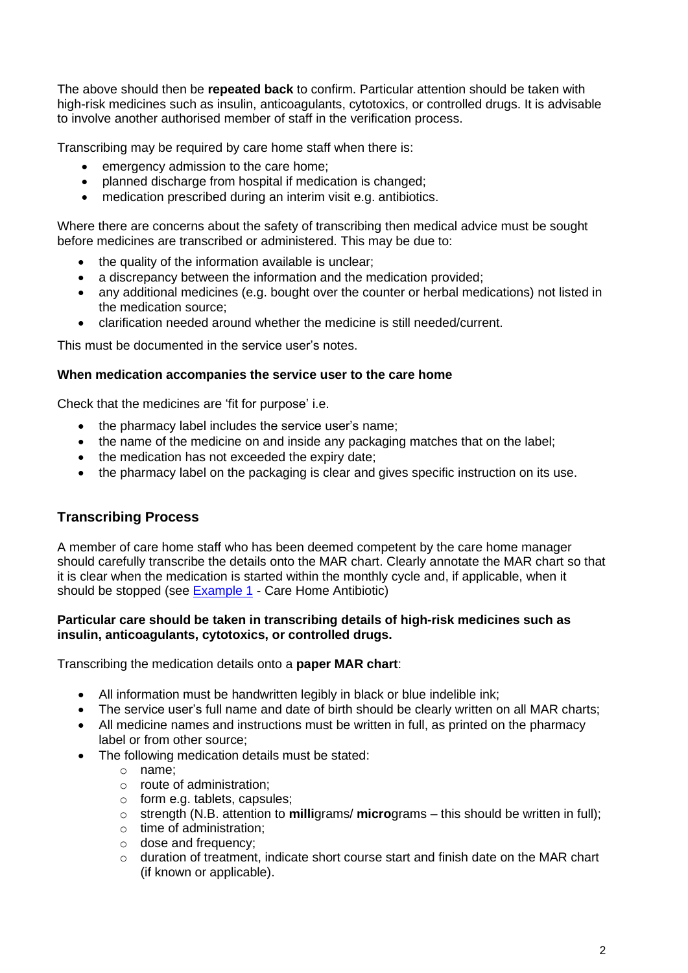The above should then be **repeated back** to confirm. Particular attention should be taken with high-risk medicines such as insulin, anticoagulants, cytotoxics, or controlled drugs. It is advisable to involve another authorised member of staff in the verification process.

Transcribing may be required by care home staff when there is:

- emergency admission to the care home;
- planned discharge from hospital if medication is changed;
- medication prescribed during an interim visit e.g. antibiotics.

Where there are concerns about the safety of transcribing then medical advice must be sought before medicines are transcribed or administered. This may be due to:

- the quality of the information available is unclear;
- a discrepancy between the information and the medication provided;
- any additional medicines (e.g. bought over the counter or herbal medications) not listed in the medication source;
- clarification needed around whether the medicine is still needed/current.

This must be documented in the service user's notes.

#### **When medication accompanies the service user to the care home**

Check that the medicines are 'fit for purpose' i.e.

- the pharmacy label includes the service user's name;
- the name of the medicine on and inside any packaging matches that on the label;
- the medication has not exceeded the expiry date;
- the pharmacy label on the packaging is clear and gives specific instruction on its use.

# **Transcribing Process**

A member of care home staff who has been deemed competent by the care home manager should carefully transcribe the details onto the MAR chart. Clearly annotate the MAR chart so that it is clear when the medication is started within the monthly cycle and, if applicable, when it should be stopped (see [Example 1](#page-3-0) - Care Home Antibiotic)

#### **Particular care should be taken in transcribing details of high-risk medicines such as insulin, anticoagulants, cytotoxics, or controlled drugs.**

Transcribing the medication details onto a **paper MAR chart**:

- All information must be handwritten legibly in black or blue indelible ink;
- The service user's full name and date of birth should be clearly written on all MAR charts;
- All medicine names and instructions must be written in full, as printed on the pharmacy label or from other source;
- The following medication details must be stated:
	- o name;
	- o route of administration;
	- o form e.g. tablets, capsules;
	- o strength (N.B. attention to **milli**grams/ **micro**grams this should be written in full);
	- o time of administration;
	- o dose and frequency;
	- $\circ$  duration of treatment, indicate short course start and finish date on the MAR chart (if known or applicable).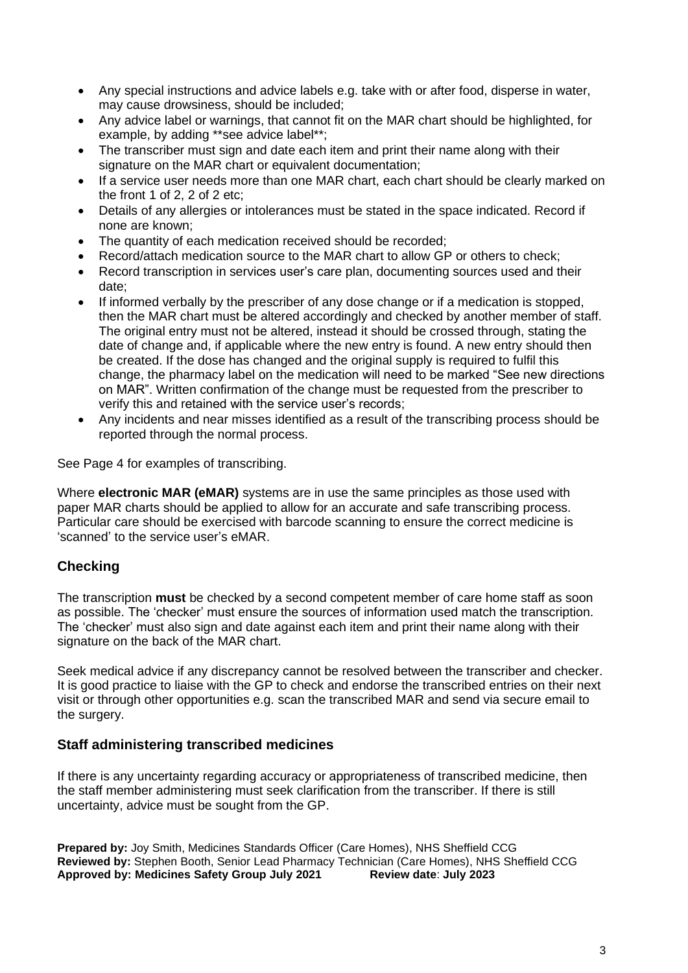- Any special instructions and advice labels e.g. take with or after food, disperse in water, may cause drowsiness, should be included;
- Any advice label or warnings, that cannot fit on the MAR chart should be highlighted, for example, by adding \*\*see advice label\*\*;
- The transcriber must sign and date each item and print their name along with their signature on the MAR chart or equivalent documentation;
- If a service user needs more than one MAR chart, each chart should be clearly marked on the front 1 of 2, 2 of 2 etc;
- Details of any allergies or intolerances must be stated in the space indicated. Record if none are known;
- The quantity of each medication received should be recorded;
- Record/attach medication source to the MAR chart to allow GP or others to check;
- Record transcription in services user's care plan, documenting sources used and their date;
- If informed verbally by the prescriber of any dose change or if a medication is stopped, then the MAR chart must be altered accordingly and checked by another member of staff. The original entry must not be altered, instead it should be crossed through, stating the date of change and, if applicable where the new entry is found. A new entry should then be created. If the dose has changed and the original supply is required to fulfil this change, the pharmacy label on the medication will need to be marked "See new directions on MAR". Written confirmation of the change must be requested from the prescriber to verify this and retained with the service user's records;
- Any incidents and near misses identified as a result of the transcribing process should be reported through the normal process.

See Page 4 for examples of transcribing.

Where **electronic MAR (eMAR)** systems are in use the same principles as those used with paper MAR charts should be applied to allow for an accurate and safe transcribing process. Particular care should be exercised with barcode scanning to ensure the correct medicine is 'scanned' to the service user's eMAR.

# **Checking**

The transcription **must** be checked by a second competent member of care home staff as soon as possible. The 'checker' must ensure the sources of information used match the transcription. The 'checker' must also sign and date against each item and print their name along with their signature on the back of the MAR chart.

Seek medical advice if any discrepancy cannot be resolved between the transcriber and checker. It is good practice to liaise with the GP to check and endorse the transcribed entries on their next visit or through other opportunities e.g. scan the transcribed MAR and send via secure email to the surgery.

## **Staff administering transcribed medicines**

If there is any uncertainty regarding accuracy or appropriateness of transcribed medicine, then the staff member administering must seek clarification from the transcriber. If there is still uncertainty, advice must be sought from the GP.

**Prepared by:** Joy Smith, Medicines Standards Officer (Care Homes), NHS Sheffield CCG **Reviewed by:** Stephen Booth, Senior Lead Pharmacy Technician (Care Homes), NHS Sheffield CCG **Approved by: Medicines Safety Group July 2021 Review date**: **July 2023**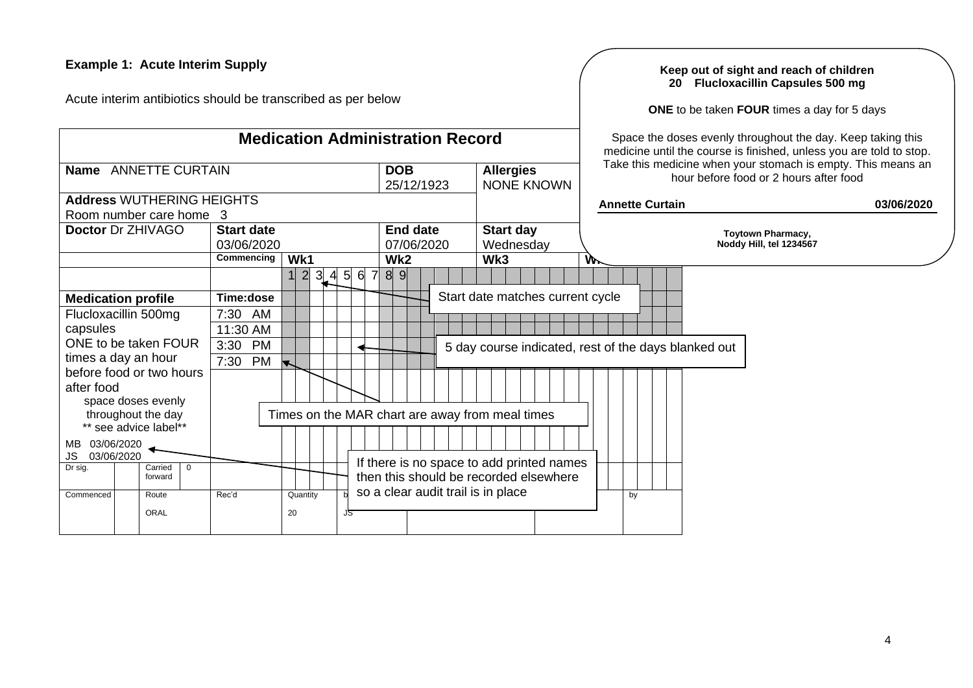## **Example 1: Acute Interim Supply**

Acute interim antibiotics should be transcribed as per below

**Medication Administration Record**

#### **Keep out of sight and reach of children 20 Flucloxacillin Capsules 500 mg**

**ONE** to be taken **FOUR** times a day for 5 days

Space the doses evenly throughout the day. Keep taking this medicine until the course is finished, unless you are told to stop. Take this medicine when your stomach is empty. This means an hour before food or 2 hours after food

<span id="page-3-0"></span>

|                                      |                   |                                                 |                                       | medicine until the course is imistied, unless you are told to stop.                                    |                          |  |  |  |  |  |  |  |  |  |  |
|--------------------------------------|-------------------|-------------------------------------------------|---------------------------------------|--------------------------------------------------------------------------------------------------------|--------------------------|--|--|--|--|--|--|--|--|--|--|
| Name ANNETTE CURTAIN                 |                   | <b>DOB</b><br>25/12/1923                        | <b>Allergies</b><br><b>NONE KNOWN</b> | Take this medicine when your stomach is empty. This means an<br>hour before food or 2 hours after food |                          |  |  |  |  |  |  |  |  |  |  |
| <b>Address WUTHERING HEIGHTS</b>     |                   |                                                 |                                       | <b>Annette Curtain</b>                                                                                 | 03/06/2020               |  |  |  |  |  |  |  |  |  |  |
| Room number care home 3              |                   |                                                 |                                       |                                                                                                        |                          |  |  |  |  |  |  |  |  |  |  |
| <b>Doctor Dr ZHIVAGO</b>             | <b>Start date</b> | <b>End date</b>                                 | <b>Start day</b>                      |                                                                                                        | <b>Toytown Pharmacy,</b> |  |  |  |  |  |  |  |  |  |  |
|                                      | 03/06/2020        | 07/06/2020                                      | Wednesday                             |                                                                                                        | Noddy Hill, tel 1234567  |  |  |  |  |  |  |  |  |  |  |
|                                      | Commencing<br>Wk1 | Wk <sub>2</sub>                                 | Wk3                                   | W.                                                                                                     |                          |  |  |  |  |  |  |  |  |  |  |
|                                      | $3$ 4 $5$         | $6 \overline{6}$<br>7<br>8 <sup>1</sup><br>9    |                                       |                                                                                                        |                          |  |  |  |  |  |  |  |  |  |  |
| <b>Medication profile</b>            | Time:dose         |                                                 | Start date matches current cycle      |                                                                                                        |                          |  |  |  |  |  |  |  |  |  |  |
| Flucloxacillin 500mg                 | 7:30<br>AM        |                                                 |                                       |                                                                                                        |                          |  |  |  |  |  |  |  |  |  |  |
| capsules                             | 11:30 AM          |                                                 |                                       |                                                                                                        |                          |  |  |  |  |  |  |  |  |  |  |
| ONE to be taken FOUR                 | <b>PM</b><br>3:30 |                                                 |                                       | 5 day course indicated, rest of the days blanked out                                                   |                          |  |  |  |  |  |  |  |  |  |  |
| times a day an hour                  | 7:30<br>PM        |                                                 |                                       |                                                                                                        |                          |  |  |  |  |  |  |  |  |  |  |
| before food or two hours             |                   |                                                 |                                       |                                                                                                        |                          |  |  |  |  |  |  |  |  |  |  |
| after food                           |                   |                                                 |                                       |                                                                                                        |                          |  |  |  |  |  |  |  |  |  |  |
| space doses evenly                   |                   |                                                 |                                       |                                                                                                        |                          |  |  |  |  |  |  |  |  |  |  |
| throughout the day                   |                   | Times on the MAR chart are away from meal times |                                       |                                                                                                        |                          |  |  |  |  |  |  |  |  |  |  |
| ** see advice label**                |                   |                                                 |                                       |                                                                                                        |                          |  |  |  |  |  |  |  |  |  |  |
| 03/06/2020<br>MB<br>JS<br>03/06/2020 |                   |                                                 |                                       |                                                                                                        |                          |  |  |  |  |  |  |  |  |  |  |
| Dr sig.<br>Carried<br>0              |                   | If there is no space to add printed names       |                                       |                                                                                                        |                          |  |  |  |  |  |  |  |  |  |  |
| forward                              |                   | then this should be recorded elsewhere          |                                       |                                                                                                        |                          |  |  |  |  |  |  |  |  |  |  |
| Commenced<br>Route                   | Rec'd<br>Quantity | so a clear audit trail is in place              |                                       | by                                                                                                     |                          |  |  |  |  |  |  |  |  |  |  |
| ORAL                                 | 20<br>JS          |                                                 |                                       |                                                                                                        |                          |  |  |  |  |  |  |  |  |  |  |